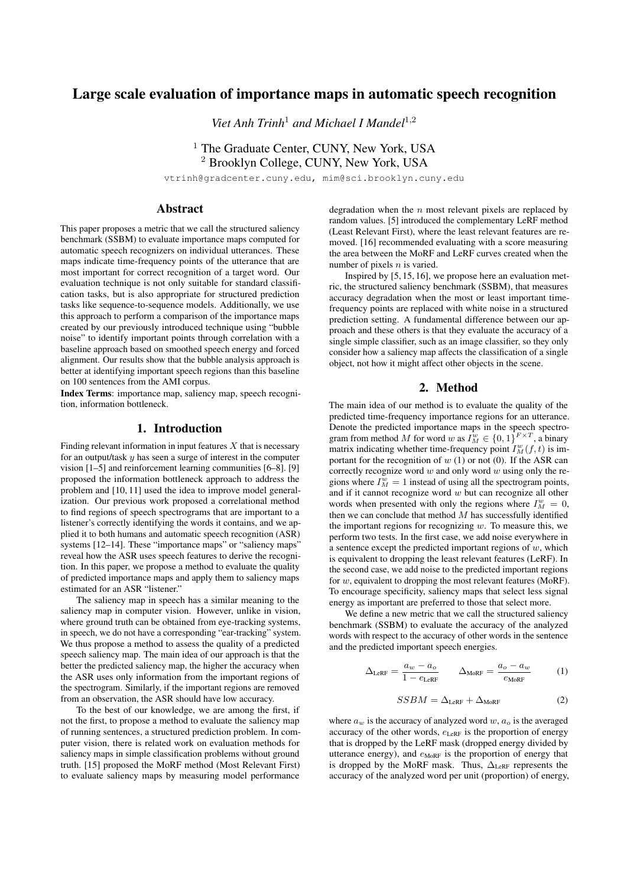# Large scale evaluation of importance maps in automatic speech recognition

*Viet Anh Trinh*<sup>1</sup> *and Michael I Mandel*<sup>1</sup>,<sup>2</sup>

# <sup>1</sup> The Graduate Center, CUNY, New York, USA <sup>2</sup> Brooklyn College, CUNY, New York, USA

vtrinh@gradcenter.cuny.edu, mim@sci.brooklyn.cuny.edu

## Abstract

This paper proposes a metric that we call the structured saliency benchmark (SSBM) to evaluate importance maps computed for automatic speech recognizers on individual utterances. These maps indicate time-frequency points of the utterance that are most important for correct recognition of a target word. Our evaluation technique is not only suitable for standard classification tasks, but is also appropriate for structured prediction tasks like sequence-to-sequence models. Additionally, we use this approach to perform a comparison of the importance maps created by our previously introduced technique using "bubble noise" to identify important points through correlation with a baseline approach based on smoothed speech energy and forced alignment. Our results show that the bubble analysis approach is better at identifying important speech regions than this baseline on 100 sentences from the AMI corpus.

Index Terms: importance map, saliency map, speech recognition, information bottleneck.

## 1. Introduction

Finding relevant information in input features  $X$  that is necessary for an output/task  $y$  has seen a surge of interest in the computer vision [1–5] and reinforcement learning communities [6–8]. [9] proposed the information bottleneck approach to address the problem and [10, 11] used the idea to improve model generalization. Our previous work proposed a correlational method to find regions of speech spectrograms that are important to a listener's correctly identifying the words it contains, and we applied it to both humans and automatic speech recognition (ASR) systems [12-14]. These "importance maps" or "saliency maps" reveal how the ASR uses speech features to derive the recognition. In this paper, we propose a method to evaluate the quality of predicted importance maps and apply them to saliency maps estimated for an ASR "listener."

The saliency map in speech has a similar meaning to the saliency map in computer vision. However, unlike in vision, where ground truth can be obtained from eye-tracking systems, in speech, we do not have a corresponding "ear-tracking" system. We thus propose a method to assess the quality of a predicted speech saliency map. The main idea of our approach is that the better the predicted saliency map, the higher the accuracy when the ASR uses only information from the important regions of the spectrogram. Similarly, if the important regions are removed from an observation, the ASR should have low accuracy.

To the best of our knowledge, we are among the first, if not the first, to propose a method to evaluate the saliency map of running sentences, a structured prediction problem. In computer vision, there is related work on evaluation methods for saliency maps in simple classification problems without ground truth. [15] proposed the MoRF method (Most Relevant First) to evaluate saliency maps by measuring model performance degradation when the  $n$  most relevant pixels are replaced by random values. [5] introduced the complementary LeRF method (Least Relevant First), where the least relevant features are removed. [16] recommended evaluating with a score measuring the area between the MoRF and LeRF curves created when the number of pixels  $n$  is varied.

Inspired by [5, 15, 16], we propose here an evaluation metric, the structured saliency benchmark (SSBM), that measures accuracy degradation when the most or least important timefrequency points are replaced with white noise in a structured prediction setting. A fundamental difference between our approach and these others is that they evaluate the accuracy of a single simple classifier, such as an image classifier, so they only consider how a saliency map affects the classification of a single object, not how it might affect other objects in the scene.

# 2. Method

The main idea of our method is to evaluate the quality of the predicted time-frequency importance regions for an utterance. Denote the predicted importance maps in the speech spectrogram from method M for word w as  $I_M^w \in \{0,1\}^{F \times T}$ , a binary matrix indicating whether time-frequency point  $I_M^w(f, t)$  is important for the recognition of  $w(1)$  or not (0). If the ASR can correctly recognize word  $w$  and only word  $w$  using only the regions where  $I_M^w = 1$  instead of using all the spectrogram points, and if it cannot recognize word  $w$  but can recognize all other words when presented with only the regions where  $I_M^w = 0$ , then we can conclude that method  $M$  has successfully identified the important regions for recognizing  $w$ . To measure this, we perform two tests. In the first case, we add noise everywhere in a sentence except the predicted important regions of  $w$ , which is equivalent to dropping the least relevant features (LeRF). In the second case, we add noise to the predicted important regions for  $w$ , equivalent to dropping the most relevant features (MoRF). To encourage specificity, saliency maps that select less signal energy as important are preferred to those that select more.

We define a new metric that we call the structured saliency benchmark (SSBM) to evaluate the accuracy of the analyzed words with respect to the accuracy of other words in the sentence and the predicted important speech energies.

$$
\Delta_{\text{LeRF}} = \frac{a_w - a_o}{1 - e_{\text{LeRF}}} \qquad \Delta_{\text{MoRF}} = \frac{a_o - a_w}{e_{\text{MoRF}}} \qquad (1)
$$

$$
SSBM = \Delta_{\text{LeRF}} + \Delta_{\text{MoRF}} \tag{2}
$$

where  $a_w$  is the accuracy of analyzed word w,  $a_o$  is the averaged accuracy of the other words,  $e_{\text{LeRF}}$  is the proportion of energy that is dropped by the LeRF mask (dropped energy divided by utterance energy), and  $e_{\text{MoRF}}$  is the proportion of energy that is dropped by the MoRF mask. Thus,  $\Delta_{\text{LeRF}}$  represents the accuracy of the analyzed word per unit (proportion) of energy,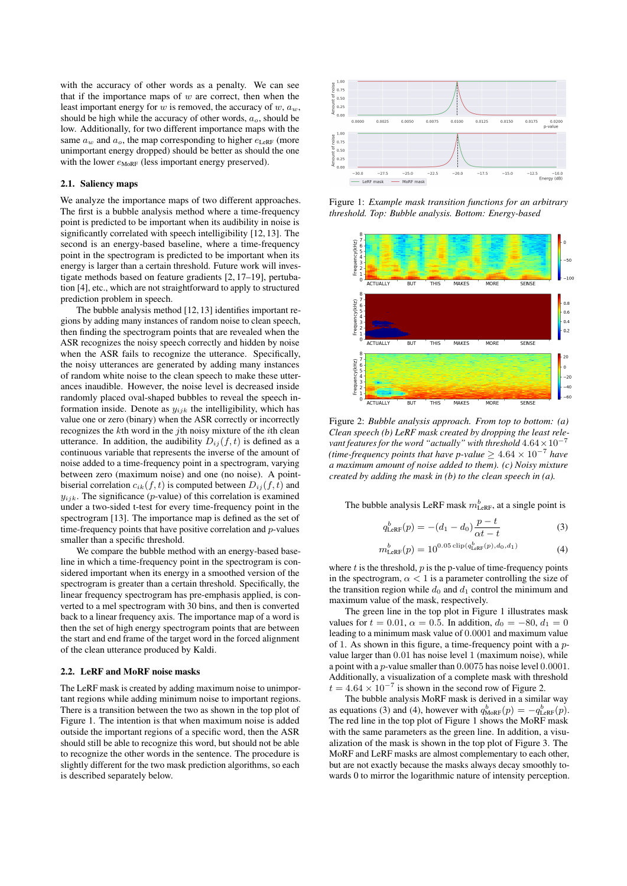with the accuracy of other words as a penalty. We can see that if the importance maps of  $w$  are correct, then when the least important energy for  $w$  is removed, the accuracy of  $w$ ,  $a_w$ , should be high while the accuracy of other words,  $a<sub>o</sub>$ , should be low. Additionally, for two different importance maps with the same  $a_w$  and  $a_o$ , the map corresponding to higher  $e_{\text{LeRF}}$  (more unimportant energy dropped) should be better as should the one with the lower  $e_{\text{MoRF}}$  (less important energy preserved).

#### 2.1. Saliency maps

We analyze the importance maps of two different approaches. The first is a bubble analysis method where a time-frequency point is predicted to be important when its audibility in noise is significantly correlated with speech intelligibility [12, 13]. The second is an energy-based baseline, where a time-frequency point in the spectrogram is predicted to be important when its energy is larger than a certain threshold. Future work will investigate methods based on feature gradients [2, 17–19], pertubation [4], etc., which are not straightforward to apply to structured prediction problem in speech.

The bubble analysis method [12, 13] identifies important regions by adding many instances of random noise to clean speech, then finding the spectrogram points that are revealed when the ASR recognizes the noisy speech correctly and hidden by noise when the ASR fails to recognize the utterance. Specifically, the noisy utterances are generated by adding many instances of random white noise to the clean speech to make these utterances inaudible. However, the noise level is decreased inside randomly placed oval-shaped bubbles to reveal the speech information inside. Denote as  $y_{ijk}$  the intelligibility, which has value one or zero (binary) when the ASR correctly or incorrectly recognizes the  $k$ th word in the  $j$ th noisy mixture of the  $i$ th clean utterance. In addition, the audibility  $D_{ij}(f, t)$  is defined as a continuous variable that represents the inverse of the amount of noise added to a time-frequency point in a spectrogram, varying between zero (maximum noise) and one (no noise). A pointbiserial correlation  $c_{ik}(f, t)$  is computed between  $D_{ij}(f, t)$  and  $y_{ijk}$ . The significance (p-value) of this correlation is examined under a two-sided t-test for every time-frequency point in the spectrogram [13]. The importance map is defined as the set of time-frequency points that have positive correlation and  $p$ -values smaller than a specific threshold.

We compare the bubble method with an energy-based baseline in which a time-frequency point in the spectrogram is considered important when its energy in a smoothed version of the spectrogram is greater than a certain threshold. Specifically, the linear frequency spectrogram has pre-emphasis applied, is converted to a mel spectrogram with 30 bins, and then is converted back to a linear frequency axis. The importance map of a word is then the set of high energy spectrogram points that are between the start and end frame of the target word in the forced alignment of the clean utterance produced by Kaldi.

#### 2.2. LeRF and MoRF noise masks

The LeRF mask is created by adding maximum noise to unimportant regions while adding minimum noise to important regions. There is a transition between the two as shown in the top plot of Figure 1. The intention is that when maximum noise is added outside the important regions of a specific word, then the ASR should still be able to recognize this word, but should not be able to recognize the other words in the sentence. The procedure is slightly different for the two mask prediction algorithms, so each is described separately below.



Figure 1: *Example mask transition functions for an arbitrary threshold. Top: Bubble analysis. Bottom: Energy-based*



Figure 2: *Bubble analysis approach. From top to bottom: (a) Clean speech (b) LeRF mask created by dropping the least relevant features for the word "actually" with threshold*  $4.64 \times 10^{-7}$ *(time-frequency points that have p-value*  $≥ 4.64 \times 10^{-7}$  *have a maximum amount of noise added to them). (c) Noisy mixture created by adding the mask in (b) to the clean speech in (a).*

The bubble analysis LeRF mask  $m_{\text{LeRF}}^b$ , at a single point is

$$
q_{\text{LeRF}}^b(p) = -(d_1 - d_0) \frac{p - t}{\alpha t - t}
$$
 (3)

$$
m_{\text{LeRF}}^b(p) = 10^{0.05 \dim(q_{\text{LeRF}}^b(p), d_0, d_1)} \tag{4}
$$

where  $t$  is the threshold,  $p$  is the p-value of time-frequency points in the spectrogram,  $\alpha$  < 1 is a parameter controlling the size of the transition region while  $d_0$  and  $d_1$  control the minimum and maximum value of the mask, respectively.

The green line in the top plot in Figure 1 illustrates mask values for  $t = 0.01$ ,  $\alpha = 0.5$ . In addition,  $d_0 = -80$ ,  $d_1 = 0$ leading to a minimum mask value of 0.0001 and maximum value of 1. As shown in this figure, a time-frequency point with a pvalue larger than 0.01 has noise level 1 (maximum noise), while a point with a p-value smaller than 0.0075 has noise level 0.0001. Additionally, a visualization of a complete mask with threshold  $t = 4.64 \times 10^{-7}$  is shown in the second row of Figure 2.

The bubble analysis MoRF mask is derived in a similar way as equations (3) and (4), however with  $q_{\text{MoRF}}^b(p) = -q_{\text{LeRF}}^b(p)$ . The red line in the top plot of Figure 1 shows the MoRF mask with the same parameters as the green line. In addition, a visualization of the mask is shown in the top plot of Figure 3. The MoRF and LeRF masks are almost complementary to each other, but are not exactly because the masks always decay smoothly towards 0 to mirror the logarithmic nature of intensity perception.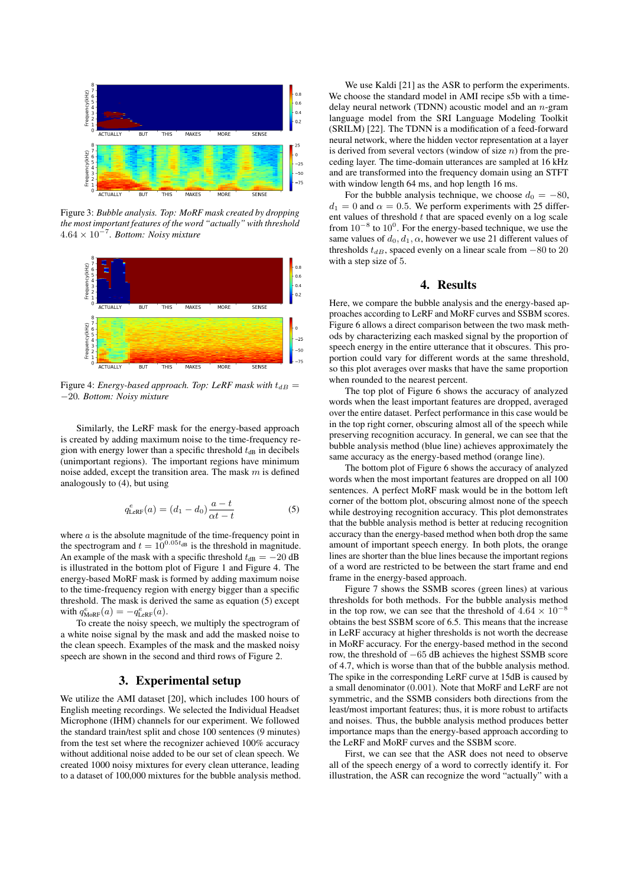

Figure 3: *Bubble analysis. Top: MoRF mask created by dropping the most important features of the word "actually" with threshold* 4.64 × 10<sup>−</sup><sup>7</sup> *. Bottom: Noisy mixture*



Figure 4: *Energy-based approach. Top: LeRF mask with*  $t_{dB}$  = −20*. Bottom: Noisy mixture*

Similarly, the LeRF mask for the energy-based approach is created by adding maximum noise to the time-frequency region with energy lower than a specific threshold  $t_{dB}$  in decibels (unimportant regions). The important regions have minimum noise added, except the transition area. The mask  $m$  is defined analogously to (4), but using

$$
q_{\text{LeRF}}^{e}(a) = (d_1 - d_0) \frac{a - t}{\alpha t - t}
$$
 (5)

where  $a$  is the absolute magnitude of the time-frequency point in the spectrogram and  $t = 10^{0.05t_{dB}}$  is the threshold in magnitude. An example of the mask with a specific threshold  $t_{dB} = -20$  dB is illustrated in the bottom plot of Figure 1 and Figure 4. The energy-based MoRF mask is formed by adding maximum noise to the time-frequency region with energy bigger than a specific threshold. The mask is derived the same as equation (5) except with  $q_{\text{MoRF}}^e(a) = -q_{\text{LeRF}}^e(a)$ .

To create the noisy speech, we multiply the spectrogram of a white noise signal by the mask and add the masked noise to the clean speech. Examples of the mask and the masked noisy speech are shown in the second and third rows of Figure 2.

## 3. Experimental setup

We utilize the AMI dataset [20], which includes 100 hours of English meeting recordings. We selected the Individual Headset Microphone (IHM) channels for our experiment. We followed the standard train/test split and chose 100 sentences (9 minutes) from the test set where the recognizer achieved 100% accuracy without additional noise added to be our set of clean speech. We created 1000 noisy mixtures for every clean utterance, leading to a dataset of 100,000 mixtures for the bubble analysis method.

We use Kaldi [21] as the ASR to perform the experiments. We choose the standard model in AMI recipe s5b with a timedelay neural network (TDNN) acoustic model and an  $n$ -gram language model from the SRI Language Modeling Toolkit (SRILM) [22]. The TDNN is a modification of a feed-forward neural network, where the hidden vector representation at a layer is derived from several vectors (window of size  $n$ ) from the preceding layer. The time-domain utterances are sampled at 16 kHz and are transformed into the frequency domain using an STFT with window length 64 ms, and hop length 16 ms.

For the bubble analysis technique, we choose  $d_0 = -80$ ,  $d_1 = 0$  and  $\alpha = 0.5$ . We perform experiments with 25 different values of threshold  $t$  that are spaced evenly on a log scale from  $10^{-8}$  to  $10^{0}$ . For the energy-based technique, we use the same values of  $d_0, d_1, \alpha$ , however we use 21 different values of thresholds  $t_{dB}$ , spaced evenly on a linear scale from  $-80$  to 20 with a step size of 5.

#### 4. Results

Here, we compare the bubble analysis and the energy-based approaches according to LeRF and MoRF curves and SSBM scores. Figure 6 allows a direct comparison between the two mask methods by characterizing each masked signal by the proportion of speech energy in the entire utterance that it obscures. This proportion could vary for different words at the same threshold, so this plot averages over masks that have the same proportion when rounded to the nearest percent.

The top plot of Figure 6 shows the accuracy of analyzed words when the least important features are dropped, averaged over the entire dataset. Perfect performance in this case would be in the top right corner, obscuring almost all of the speech while preserving recognition accuracy. In general, we can see that the bubble analysis method (blue line) achieves approximately the same accuracy as the energy-based method (orange line).

The bottom plot of Figure 6 shows the accuracy of analyzed words when the most important features are dropped on all 100 sentences. A perfect MoRF mask would be in the bottom left corner of the bottom plot, obscuring almost none of the speech while destroying recognition accuracy. This plot demonstrates that the bubble analysis method is better at reducing recognition accuracy than the energy-based method when both drop the same amount of important speech energy. In both plots, the orange lines are shorter than the blue lines because the important regions of a word are restricted to be between the start frame and end frame in the energy-based approach.

Figure 7 shows the SSMB scores (green lines) at various thresholds for both methods. For the bubble analysis method in the top row, we can see that the threshold of  $4.64 \times 10^{-8}$ obtains the best SSBM score of 6.5. This means that the increase in LeRF accuracy at higher thresholds is not worth the decrease in MoRF accuracy. For the energy-based method in the second row, the threshold of −65 dB achieves the highest SSMB score of 4.7, which is worse than that of the bubble analysis method. The spike in the corresponding LeRF curve at 15dB is caused by a small denominator (0.001). Note that MoRF and LeRF are not symmetric, and the SSMB considers both directions from the least/most important features; thus, it is more robust to artifacts and noises. Thus, the bubble analysis method produces better importance maps than the energy-based approach according to the LeRF and MoRF curves and the SSBM score.

First, we can see that the ASR does not need to observe all of the speech energy of a word to correctly identify it. For illustration, the ASR can recognize the word "actually" with a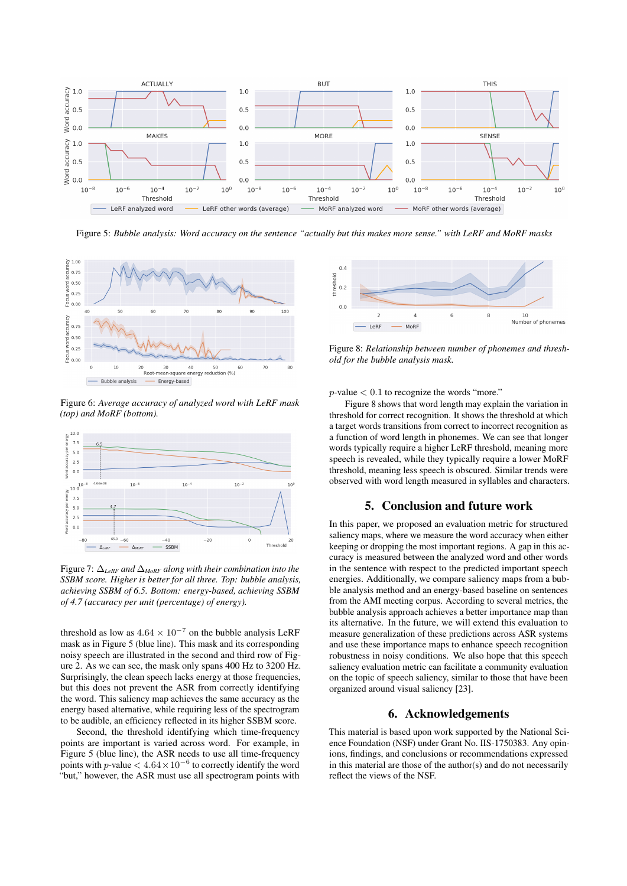

Figure 5: *Bubble analysis: Word accuracy on the sentence "actually but this makes more sense." with LeRF and MoRF masks*



Figure 6: *Average accuracy of analyzed word with LeRF mask (top) and MoRF (bottom).*



Figure 7: ∆*LeRF and* ∆*MoRF along with their combination into the SSBM score. Higher is better for all three. Top: bubble analysis, achieving SSBM of 6.5. Bottom: energy-based, achieving SSBM of 4.7 (accuracy per unit (percentage) of energy).*

threshold as low as  $4.64 \times 10^{-7}$  on the bubble analysis LeRF mask as in Figure 5 (blue line). This mask and its corresponding noisy speech are illustrated in the second and third row of Figure 2. As we can see, the mask only spans 400 Hz to 3200 Hz. Surprisingly, the clean speech lacks energy at those frequencies, but this does not prevent the ASR from correctly identifying the word. This saliency map achieves the same accuracy as the energy based alternative, while requiring less of the spectrogram to be audible, an efficiency reflected in its higher SSBM score.

Second, the threshold identifying which time-frequency points are important is varied across word. For example, in Figure 5 (blue line), the ASR needs to use all time-frequency points with p-value  $< 4.64 \times 10^{-6}$  to correctly identify the word "but," however, the ASR must use all spectrogram points with



Figure 8: *Relationship between number of phonemes and threshold for the bubble analysis mask.*

 $p$ -value  $< 0.1$  to recognize the words "more."

Figure 8 shows that word length may explain the variation in threshold for correct recognition. It shows the threshold at which a target words transitions from correct to incorrect recognition as a function of word length in phonemes. We can see that longer words typically require a higher LeRF threshold, meaning more speech is revealed, while they typically require a lower MoRF threshold, meaning less speech is obscured. Similar trends were observed with word length measured in syllables and characters.

# 5. Conclusion and future work

In this paper, we proposed an evaluation metric for structured saliency maps, where we measure the word accuracy when either keeping or dropping the most important regions. A gap in this accuracy is measured between the analyzed word and other words in the sentence with respect to the predicted important speech energies. Additionally, we compare saliency maps from a bubble analysis method and an energy-based baseline on sentences from the AMI meeting corpus. According to several metrics, the bubble analysis approach achieves a better importance map than its alternative. In the future, we will extend this evaluation to measure generalization of these predictions across ASR systems and use these importance maps to enhance speech recognition robustness in noisy conditions. We also hope that this speech saliency evaluation metric can facilitate a community evaluation on the topic of speech saliency, similar to those that have been organized around visual saliency [23].

### 6. Acknowledgements

This material is based upon work supported by the National Science Foundation (NSF) under Grant No. IIS-1750383. Any opinions, findings, and conclusions or recommendations expressed in this material are those of the author(s) and do not necessarily reflect the views of the NSF.